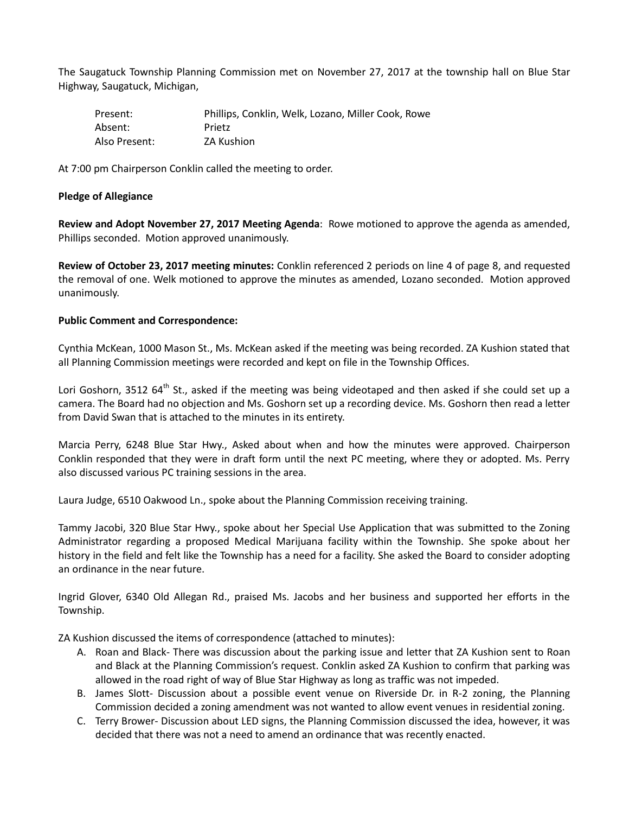The Saugatuck Township Planning Commission met on November 27, 2017 at the township hall on Blue Star Highway, Saugatuck, Michigan,

| Present:      | Phillips, Conklin, Welk, Lozano, Miller Cook, Rowe |
|---------------|----------------------------------------------------|
| Absent:       | Prietz                                             |
| Also Present: | <b>ZA Kushion</b>                                  |

At 7:00 pm Chairperson Conklin called the meeting to order.

## **Pledge of Allegiance**

**Review and Adopt November 27, 2017 Meeting Agenda**: Rowe motioned to approve the agenda as amended, Phillips seconded. Motion approved unanimously.

**Review of October 23, 2017 meeting minutes:** Conklin referenced 2 periods on line 4 of page 8, and requested the removal of one. Welk motioned to approve the minutes as amended, Lozano seconded. Motion approved unanimously.

## **Public Comment and Correspondence:**

Cynthia McKean, 1000 Mason St., Ms. McKean asked if the meeting was being recorded. ZA Kushion stated that all Planning Commission meetings were recorded and kept on file in the Township Offices.

Lori Goshorn, 3512 64<sup>th</sup> St., asked if the meeting was being videotaped and then asked if she could set up a camera. The Board had no objection and Ms. Goshorn set up a recording device. Ms. Goshorn then read a letter from David Swan that is attached to the minutes in its entirety.

Marcia Perry, 6248 Blue Star Hwy., Asked about when and how the minutes were approved. Chairperson Conklin responded that they were in draft form until the next PC meeting, where they or adopted. Ms. Perry also discussed various PC training sessions in the area.

Laura Judge, 6510 Oakwood Ln., spoke about the Planning Commission receiving training.

Tammy Jacobi, 320 Blue Star Hwy., spoke about her Special Use Application that was submitted to the Zoning Administrator regarding a proposed Medical Marijuana facility within the Township. She spoke about her history in the field and felt like the Township has a need for a facility. She asked the Board to consider adopting an ordinance in the near future.

Ingrid Glover, 6340 Old Allegan Rd., praised Ms. Jacobs and her business and supported her efforts in the Township.

ZA Kushion discussed the items of correspondence (attached to minutes):

- A. Roan and Black- There was discussion about the parking issue and letter that ZA Kushion sent to Roan and Black at the Planning Commission's request. Conklin asked ZA Kushion to confirm that parking was allowed in the road right of way of Blue Star Highway as long as traffic was not impeded.
- B. James Slott- Discussion about a possible event venue on Riverside Dr. in R-2 zoning, the Planning Commission decided a zoning amendment was not wanted to allow event venues in residential zoning.
- C. Terry Brower- Discussion about LED signs, the Planning Commission discussed the idea, however, it was decided that there was not a need to amend an ordinance that was recently enacted.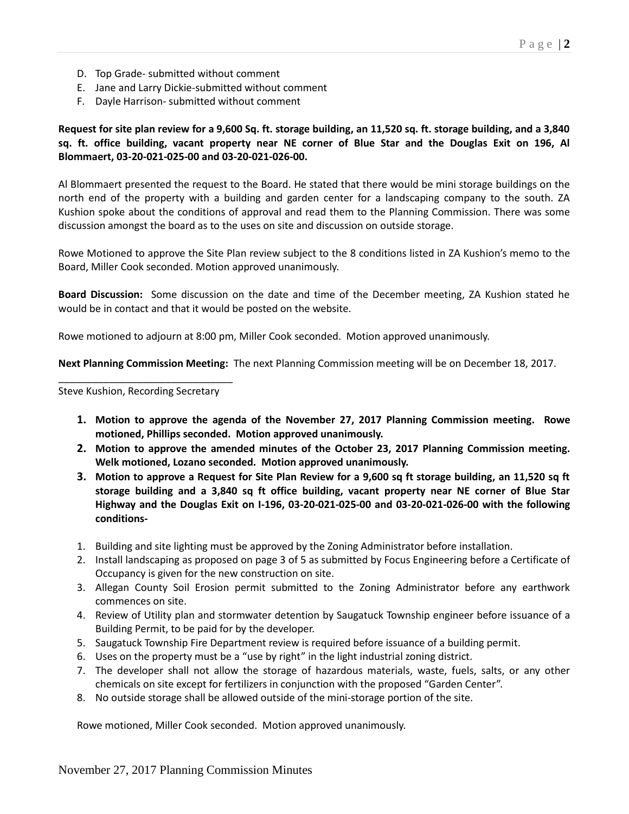- D. Top Grade- submitted without comment
- E. Jane and Larry Dickie-submitted without comment
- F. Dayle Harrison- submitted without comment

**Request for site plan review for a 9,600 Sq. ft. storage building, an 11,520 sq. ft. storage building, and a 3,840 sq. ft. office building, vacant property near NE corner of Blue Star and the Douglas Exit on 196, Al Blommaert, 03-20-021-025-00 and 03-20-021-026-00.** 

Al Blommaert presented the request to the Board. He stated that there would be mini storage buildings on the north end of the property with a building and garden center for a landscaping company to the south. ZA Kushion spoke about the conditions of approval and read them to the Planning Commission. There was some discussion amongst the board as to the uses on site and discussion on outside storage.

Rowe Motioned to approve the Site Plan review subject to the 8 conditions listed in ZA Kushion's memo to the Board, Miller Cook seconded. Motion approved unanimously.

**Board Discussion:** Some discussion on the date and time of the December meeting, ZA Kushion stated he would be in contact and that it would be posted on the website.

Rowe motioned to adjourn at 8:00 pm, Miller Cook seconded. Motion approved unanimously.

**Next Planning Commission Meeting:** The next Planning Commission meeting will be on December 18, 2017.

\_\_\_\_\_\_\_\_\_\_\_\_\_\_\_\_\_\_\_\_\_\_\_\_\_\_\_\_\_\_\_ Steve Kushion, Recording Secretary

- **1. Motion to approve the agenda of the November 27, 2017 Planning Commission meeting. Rowe motioned, Phillips seconded. Motion approved unanimously.**
- **2. Motion to approve the amended minutes of the October 23, 2017 Planning Commission meeting. Welk motioned, Lozano seconded. Motion approved unanimously.**
- **3. Motion to approve a Request for Site Plan Review for a 9,600 sq ft storage building, an 11,520 sq ft storage building and a 3,840 sq ft office building, vacant property near NE corner of Blue Star Highway and the Douglas Exit on I-196, 03-20-021-025-00 and 03-20-021-026-00 with the following conditions-**
- 1. Building and site lighting must be approved by the Zoning Administrator before installation.
- 2. Install landscaping as proposed on page 3 of 5 as submitted by Focus Engineering before a Certificate of Occupancy is given for the new construction on site.
- 3. Allegan County Soil Erosion permit submitted to the Zoning Administrator before any earthwork commences on site.
- 4. Review of Utility plan and stormwater detention by Saugatuck Township engineer before issuance of a Building Permit, to be paid for by the developer.
- 5. Saugatuck Township Fire Department review is required before issuance of a building permit.
- 6. Uses on the property must be a "use by right" in the light industrial zoning district.
- 7. The developer shall not allow the storage of hazardous materials, waste, fuels, salts, or any other chemicals on site except for fertilizers in conjunction with the proposed "Garden Center".
- 8. No outside storage shall be allowed outside of the mini-storage portion of the site.

Rowe motioned, Miller Cook seconded. Motion approved unanimously.